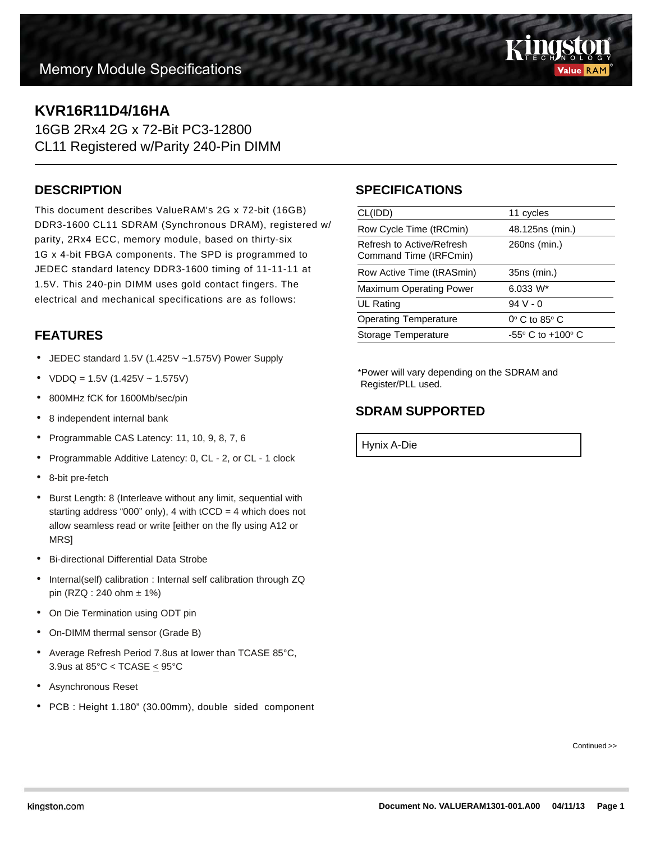

# **KVR16R11D4/16HA**

16GB 2Rx4 2G x 72-Bit PC3-12800 CL11 Registered w/Parity 240-Pin DIMM

#### **DESCRIPTION**

This document describes ValueRAM's 2G x 72-bit (16GB) DDR3-1600 CL11 SDRAM (Synchronous DRAM), registered w/ parity, 2Rx4 ECC, memory module, based on thirty-six 1G x 4-bit FBGA components. The SPD is programmed to JEDEC standard latency DDR3-1600 timing of 11-11-11 at 1.5V. This 240-pin DIMM uses gold contact fingers. The electrical and mechanical specifications are as follows:

# **FEATURES**

- JEDEC standard 1.5V (1.425V ~1.575V) Power Supply
- $VDDQ = 1.5V (1.425V 1.575V)$
- 800MHz fCK for 1600Mb/sec/pin
- 8 independent internal bank
- Programmable CAS Latency: 11, 10, 9, 8, 7, 6
- Programmable Additive Latency: 0, CL 2, or CL 1 clock
- 8-bit pre-fetch
- Burst Length: 8 (Interleave without any limit, sequential with starting address "000" only), 4 with  $tCCD = 4$  which does not allow seamless read or write [either on the fly using A12 or MRS]
- Bi-directional Differential Data Strobe
- Internal(self) calibration : Internal self calibration through ZQ pin (RZQ : 240 ohm ± 1%)
- On Die Termination using ODT pin
- On-DIMM thermal sensor (Grade B)
- Average Refresh Period 7.8us at lower than TCASE 85°C, 3.9us at  $85^{\circ}$ C < TCASE  $\leq 95^{\circ}$ C
- Asynchronous Reset
- PCB : Height 1.180" (30.00mm), double sided component

### **SPECIFICATIONS**

| CL(IDD)                                             | 11 cycles                           |
|-----------------------------------------------------|-------------------------------------|
| Row Cycle Time (tRCmin)                             | 48.125ns (min.)                     |
| Refresh to Active/Refresh<br>Command Time (tRFCmin) | 260ns (min.)                        |
| Row Active Time (tRASmin)                           | 35ns (min.)                         |
| <b>Maximum Operating Power</b>                      | $6.033 W^*$                         |
| UL Rating                                           | $94V - 0$                           |
| <b>Operating Temperature</b>                        | $0^\circ$ C to 85 $^\circ$ C        |
| Storage Temperature                                 | $-55^{\circ}$ C to $+100^{\circ}$ C |
|                                                     |                                     |

\*Power will vary depending on the SDRAM and Register/PLL used.

#### **SDRAM SUPPORTED**

Hynix A-Die

Continued >>